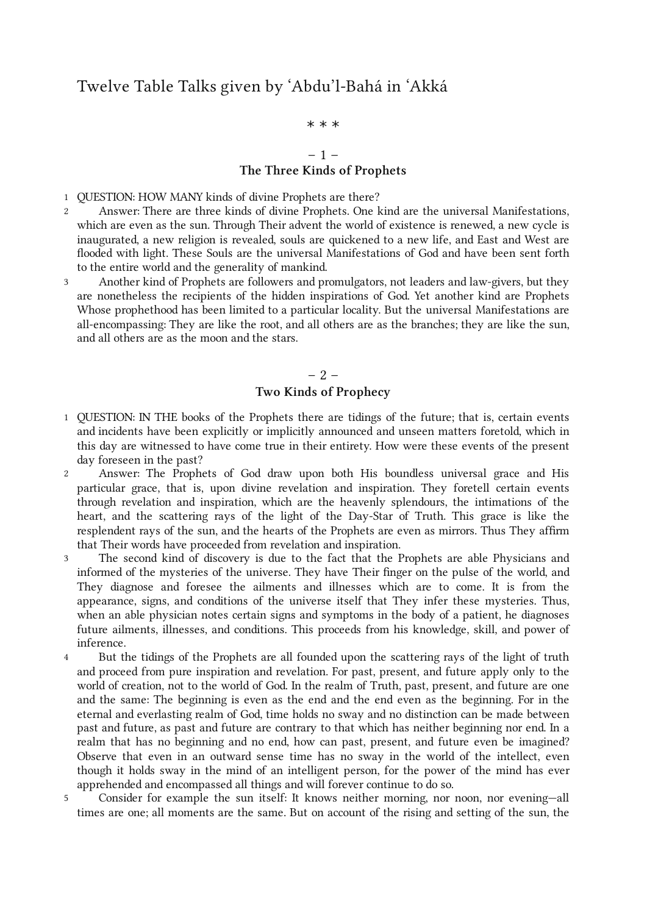# Twelve Table Talks given by 'Abdu'l‑Bahá in 'Akká

#### \* \* \*

## – 1 – The Three Kinds of Prophets

- QUESTION: HOW MANY kinds of divine Prophets are there? 1
- Answer: There are three kinds of divine Prophets. One kind are the universal Manifestations, which are even as the sun. Through Their advent the world of existence is renewed, a new cycle is inaugurated, a new religion is revealed, souls are quickened to a new life, and East and West are flooded with light. These Souls are the universal Manifestations of God and have been sent forth to the entire world and the generality of mankind. 2
- Another kind of Prophets are followers and promulgators, not leaders and law-givers, but they are nonetheless the recipients of the hidden inspirations of God. Yet another kind are Prophets Whose prophethood has been limited to a particular locality. But the universal Manifestations are all-encompassing: They are like the root, and all others are as the branches; they are like the sun, and all others are as the moon and the stars. 3

# $-2-$ Two Kinds of Prophecy

- QUESTION: IN THE books of the Prophets there are tidings of the future; that is, certain events 1 and incidents have been explicitly or implicitly announced and unseen matters foretold, which in this day are witnessed to have come true in their entirety. How were these events of the present day foreseen in the past?
- Answer: The Prophets of God draw upon both His boundless universal grace and His particular grace, that is, upon divine revelation and inspiration. They foretell certain events through revelation and inspiration, which are the heavenly splendours, the intimations of the heart, and the scattering rays of the light of the Day-Star of Truth. This grace is like the resplendent rays of the sun, and the hearts of the Prophets are even as mirrors. Thus They affirm that Their words have proceeded from revelation and inspiration. 2
- The second kind of discovery is due to the fact that the Prophets are able Physicians and informed of the mysteries of the universe. They have Their finger on the pulse of the world, and They diagnose and foresee the ailments and illnesses which are to come. It is from the appearance, signs, and conditions of the universe itself that They infer these mysteries. Thus, when an able physician notes certain signs and symptoms in the body of a patient, he diagnoses future ailments, illnesses, and conditions. This proceeds from his knowledge, skill, and power of inference. 3
- But the tidings of the Prophets are all founded upon the scattering rays of the light of truth and proceed from pure inspiration and revelation. For past, present, and future apply only to the world of creation, not to the world of God. In the realm of Truth, past, present, and future are one and the same: The beginning is even as the end and the end even as the beginning. For in the eternal and everlasting realm of God, time holds no sway and no distinction can be made between past and future, as past and future are contrary to that which has neither beginning nor end. In a realm that has no beginning and no end, how can past, present, and future even be imagined? Observe that even in an outward sense time has no sway in the world of the intellect, even though it holds sway in the mind of an intelligent person, for the power of the mind has ever apprehended and encompassed all things and will forever continue to do so. 4
- Consider for example the sun itself: It knows neither morning, nor noon, nor evening—all times are one; all moments are the same. But on account of the rising and setting of the sun, the 5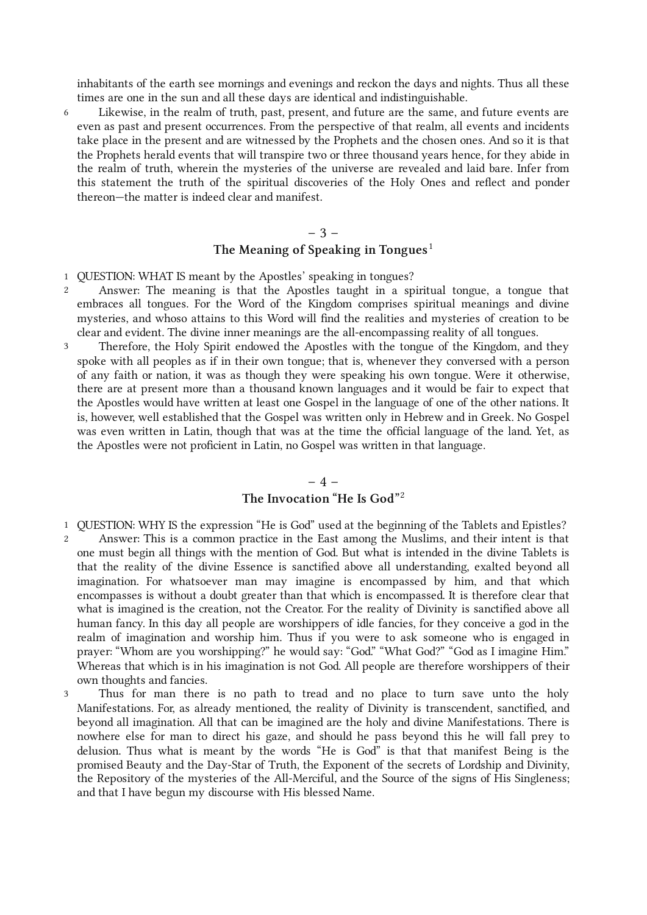inhabitants of the earth see mornings and evenings and reckon the days and nights. Thus all these times are one in the sun and all these days are identical and indistinguishable.

Likewise, in the realm of truth, past, present, and future are the same, and future events are even as past and present occurrences. From the perspective of that realm, all events and incidents take place in the present and are witnessed by the Prophets and the chosen ones. And so it is that the Prophets herald events that will transpire two or three thousand years hence, for they abide in the realm of truth, wherein the mysteries of the universe are revealed and laid bare. Infer from this statement the truth of the spiritual discoveries of the Holy Ones and reflect and ponder thereon—the matter is indeed clear and manifest. 6

## – 3 –

## <span id="page-1-0"></span>The Meaning of Speaking in Tongues $^1$  $^1$

- QUESTION: WHAT IS meant by the Apostles' speaking in tongues? 1
- Answer: The meaning is that the Apostles taught in a spiritual tongue, a tongue that embraces all tongues. For the Word of the Kingdom comprises spiritual meanings and divine mysteries, and whoso attains to this Word will find the realities and mysteries of creation to be clear and evident. The divine inner meanings are the all-encompassing reality of all tongues. 2
- Therefore, the Holy Spirit endowed the Apostles with the tongue of the Kingdom, and they spoke with all peoples as if in their own tongue; that is, whenever they conversed with a person of any faith or nation, it was as though they were speaking his own tongue. Were it otherwise, there are at present more than a thousand known languages and it would be fair to expect that the Apostles would have written at least one Gospel in the language of one of the other nations. It is, however, well established that the Gospel was written only in Hebrew and in Greek. No Gospel was even written in Latin, though that was at the time the official language of the land. Yet, as the Apostles were not proficient in Latin, no Gospel was written in that language. 3

# <span id="page-1-1"></span> $-4-$ The Invocation "He Is God" [2](#page-12-1)

- QUESTION: WHY IS the expression "He is God" used at the beginning of the Tablets and Epistles? 1 Answer: This is a common practice in the East among the Muslims, and their intent is that one must begin all things with the mention of God. But what is intended in the divine Tablets is that the reality of the divine Essence is sanctified above all understanding, exalted beyond all imagination. For whatsoever man may imagine is encompassed by him, and that which encompasses is without a doubt greater than that which is encompassed. It is therefore clear that what is imagined is the creation, not the Creator. For the reality of Divinity is sanctified above all human fancy. In this day all people are worshippers of idle fancies, for they conceive a god in the realm of imagination and worship him. Thus if you were to ask someone who is engaged in prayer: "Whom are you worshipping?" he would say: "God." "What God?" "God as I imagine Him." Whereas that which is in his imagination is not God. All people are therefore worshippers of their own thoughts and fancies. 2
- Thus for man there is no path to tread and no place to turn save unto the holy Manifestations. For, as already mentioned, the reality of Divinity is transcendent, sanctified, and beyond all imagination. All that can be imagined are the holy and divine Manifestations. There is nowhere else for man to direct his gaze, and should he pass beyond this he will fall prey to delusion. Thus what is meant by the words "He is God" is that that manifest Being is the promised Beauty and the Day-Star of Truth, the Exponent of the secrets of Lordship and Divinity, the Repository of the mysteries of the All-Merciful, and the Source of the signs of His Singleness; and that I have begun my discourse with His blessed Name. 3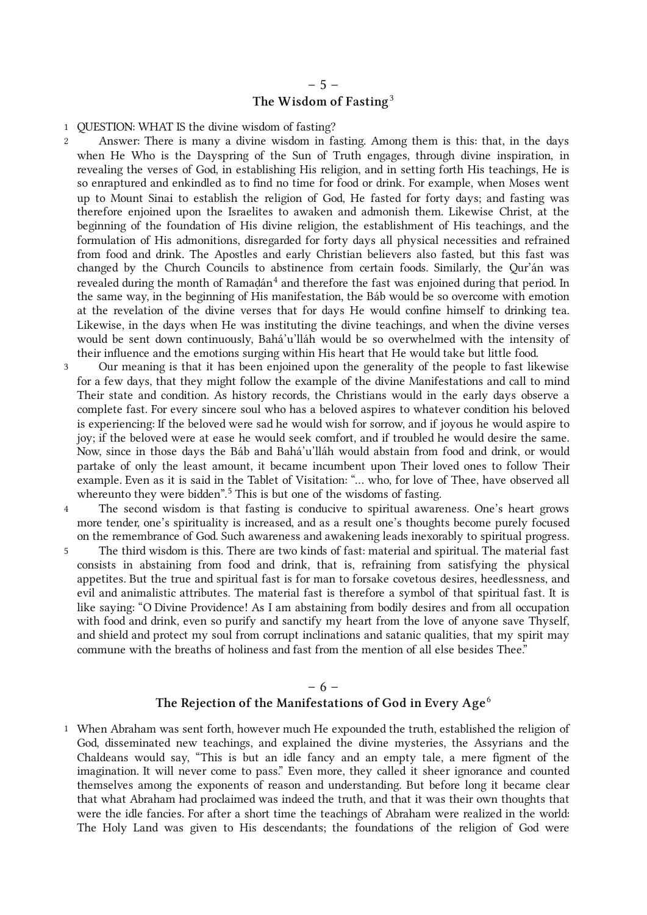<span id="page-2-0"></span>QUESTION: WHAT IS the divine wisdom of fasting? 1

- <span id="page-2-1"></span>Answer: There is many a divine wisdom in fasting. Among them is this: that, in the days when He Who is the Dayspring of the Sun of Truth engages, through divine inspiration, in revealing the verses of God, in establishing His religion, and in setting forth His teachings, He is so enraptured and enkindled as to find no time for food or drink. For example, when Moses went up to Mount Sinai to establish the religion of God, He fasted for forty days; and fasting was therefore enjoined upon the Israelites to awaken and admonish them. Likewise Christ, at the beginning of the foundation of His divine religion, the establishment of His teachings, and the formulation of His admonitions, disregarded for forty days all physical necessities and refrained from food and drink. The Apostles and early Christian believers also fasted, but this fast was changed by the Church Councils to abstinence from certain foods. Similarly, the Qur'án was revealed during the month of Ramaḍán<sup>[4](#page-12-3)</sup> and therefore the fast was enjoined during that period. In the same way, in the beginning of His manifestation, the Báb would be so overcome with emotion at the revelation of the divine verses that for days He would confine himself to drinking tea. Likewise, in the days when He was instituting the divine teachings, and when the divine verses would be sent down continuously, Bahá'u'lláh would be so overwhelmed with the intensity of their influence and the emotions surging within His heart that He would take but little food. 2
- <span id="page-2-2"></span>Our meaning is that it has been enjoined upon the generality of the people to fast likewise for a few days, that they might follow the example of the divine Manifestations and call to mind Their state and condition. As history records, the Christians would in the early days observe a complete fast. For every sincere soul who has a beloved aspires to whatever condition his beloved is experiencing: If the beloved were sad he would wish for sorrow, and if joyous he would aspire to joy; if the beloved were at ease he would seek comfort, and if troubled he would desire the same. Now, since in those days the Báb and Bahá'u'lláh would abstain from food and drink, or would partake of only the least amount, it became incumbent upon Their loved ones to follow Their example. Even as it is said in the Tablet of Visitation: "... who, for love of Thee, have observed all whereunto they were bidden".<sup>[5](#page-12-4)</sup> This is but one of the wisdoms of fasting. 3
- The second wisdom is that fasting is conducive to spiritual awareness. One's heart grows more tender, one's spirituality is increased, and as a result one's thoughts become purely focused on the remembrance of God. Such awareness and awakening leads inexorably to spiritual progress. 4
- The third wisdom is this. There are two kinds of fast: material and spiritual. The material fast consists in abstaining from food and drink, that is, refraining from satisfying the physical appetites. But the true and spiritual fast is for man to forsake covetous desires, heedlessness, and evil and animalistic attributes. The material fast is therefore a symbol of that spiritual fast. It is like saying: "O Divine Providence! As I am abstaining from bodily desires and from all occupation with food and drink, even so purify and sanctify my heart from the love of anyone save Thyself, and shield and protect my soul from corrupt inclinations and satanic qualities, that my spirit may commune with the breaths of holiness and fast from the mention of all else besides Thee." 5

#### – 6 –

## <span id="page-2-3"></span>The Rejection of the Manifestations of God in Every Age $^6$  $^6$

When Abraham was sent forth, however much He expounded the truth, established the religion of 1God, disseminated new teachings, and explained the divine mysteries, the Assyrians and the Chaldeans would say, "This is but an idle fancy and an empty tale, a mere figment of the imagination. It will never come to pass." Even more, they called it sheer ignorance and counted themselves among the exponents of reason and understanding. But before long it became clear that what Abraham had proclaimed was indeed the truth, and that it was their own thoughts that were the idle fancies. For after a short time the teachings of Abraham were realized in the world: The Holy Land was given to His descendants; the foundations of the religion of God were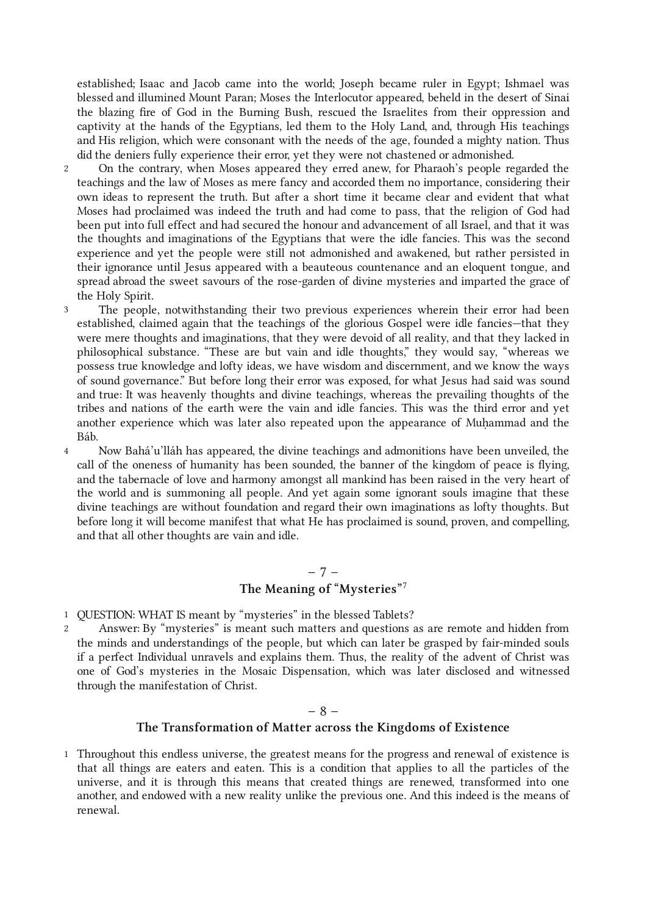established; Isaac and Jacob came into the world; Joseph became ruler in Egypt; Ishmael was blessed and illumined Mount Paran; Moses the Interlocutor appeared, beheld in the desert of Sinai the blazing fire of God in the Burning Bush, rescued the Israelites from their oppression and captivity at the hands of the Egyptians, led them to the Holy Land, and, through His teachings and His religion, which were consonant with the needs of the age, founded a mighty nation. Thus did the deniers fully experience their error, yet they were not chastened or admonished.

- On the contrary, when Moses appeared they erred anew, for Pharaoh's people regarded the teachings and the law of Moses as mere fancy and accorded them no importance, considering their own ideas to represent the truth. But after a short time it became clear and evident that what Moses had proclaimed was indeed the truth and had come to pass, that the religion of God had been put into full effect and had secured the honour and advancement of all Israel, and that it was the thoughts and imaginations of the Egyptians that were the idle fancies. This was the second experience and yet the people were still not admonished and awakened, but rather persisted in their ignorance until Jesus appeared with a beauteous countenance and an eloquent tongue, and spread abroad the sweet savours of the rose-garden of divine mysteries and imparted the grace of the Holy Spirit. 2
- The people, notwithstanding their two previous experiences wherein their error had been established, claimed again that the teachings of the glorious Gospel were idle fancies—that they were mere thoughts and imaginations, that they were devoid of all reality, and that they lacked in philosophical substance. "These are but vain and idle thoughts," they would say, "whereas we possess true knowledge and lofty ideas, we have wisdom and discernment, and we know the ways of sound governance." But before long their error was exposed, for what Jesus had said was sound and true: It was heavenly thoughts and divine teachings, whereas the prevailing thoughts of the tribes and nations of the earth were the vain and idle fancies. This was the third error and yet another experience which was later also repeated upon the appearance of Muḥammad and the Báb. 3
- Now Bahá'u'lláh has appeared, the divine teachings and admonitions have been unveiled, the call of the oneness of humanity has been sounded, the banner of the kingdom of peace is flying, and the tabernacle of love and harmony amongst all mankind has been raised in the very heart of the world and is summoning all people. And yet again some ignorant souls imagine that these divine teachings are without foundation and regard their own imaginations as lofty thoughts. But before long it will become manifest that what He has proclaimed is sound, proven, and compelling, and that all other thoughts are vain and idle. 4

#### – 7 –

## <span id="page-3-0"></span>The Meaning of "Mysteries" [7](#page-12-6)

- QUESTION: WHAT IS meant by "mysteries" in the blessed Tablets? 1
- Answer: By "mysteries" is meant such matters and questions as are remote and hidden from the minds and understandings of the people, but which can later be grasped by fair-minded souls if a perfect Individual unravels and explains them. Thus, the reality of the advent of Christ was one of God's mysteries in the Mosaic Dispensation, which was later disclosed and witnessed through the manifestation of Christ.  $\mathfrak{2}$

#### – 8 –

#### The Transformation of Matter across the Kingdoms of Existence

Throughout this endless universe, the greatest means for the progress and renewal of existence is 1that all things are eaters and eaten. This is a condition that applies to all the particles of the universe, and it is through this means that created things are renewed, transformed into one another, and endowed with a new reality unlike the previous one. And this indeed is the means of renewal.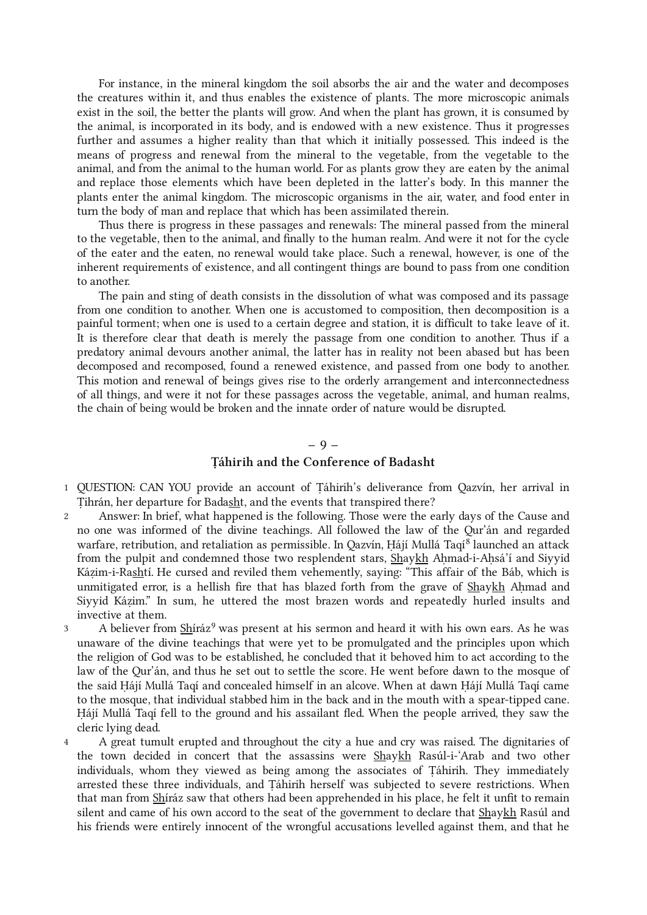For instance, in the mineral kingdom the soil absorbs the air and the water and decomposes the creatures within it, and thus enables the existence of plants. The more microscopic animals exist in the soil, the better the plants will grow. And when the plant has grown, it is consumed by the animal, is incorporated in its body, and is endowed with a new existence. Thus it progresses further and assumes a higher reality than that which it initially possessed. This indeed is the means of progress and renewal from the mineral to the vegetable, from the vegetable to the animal, and from the animal to the human world. For as plants grow they are eaten by the animal and replace those elements which have been depleted in the latter's body. In this manner the plants enter the animal kingdom. The microscopic organisms in the air, water, and food enter in turn the body of man and replace that which has been assimilated therein.

Thus there is progress in these passages and renewals: The mineral passed from the mineral to the vegetable, then to the animal, and finally to the human realm. And were it not for the cycle of the eater and the eaten, no renewal would take place. Such a renewal, however, is one of the inherent requirements of existence, and all contingent things are bound to pass from one condition to another.

The pain and sting of death consists in the dissolution of what was composed and its passage from one condition to another. When one is accustomed to composition, then decomposition is a painful torment; when one is used to a certain degree and station, it is difficult to take leave of it. It is therefore clear that death is merely the passage from one condition to another. Thus if a predatory animal devours another animal, the latter has in reality not been abased but has been decomposed and recomposed, found a renewed existence, and passed from one body to another. This motion and renewal of beings gives rise to the orderly arrangement and interconnectedness of all things, and were it not for these passages across the vegetable, animal, and human realms, the chain of being would be broken and the innate order of nature would be disrupted.

#### – 9 –

#### Ṭáhirih and the Conference of Badasht

- QUESTION: CAN YOU provide an account of Ṭáhirih's deliverance from Qazvín, her arrival in 1 Ṭihrán, her departure for Badasht, and the events that transpired there?
- <span id="page-4-0"></span>Answer: In brief, what happened is the following. Those were the early days of the Cause and no one was informed of the divine teachings. All followed the law of the Qur'án and regarded warfare, retribution, and retaliation as permissible. In Qazvín, Ḥájí Mullá Taqí [8](#page-12-7) launched an attack from the pulpit and condemned those two resplendent stars, Shaykh Ahmad-i-Aḥsá'í and Siyyid Kázim-i-Rashtí. He cursed and reviled them vehemently, saying: "This affair of the Báb, which is unmitigated error, is a hellish fire that has blazed forth from the grave of Shaykh Ahmad and Siyyid Káẓim." In sum, he uttered the most brazen words and repeatedly hurled insults and invective at them. 2
- <span id="page-4-1"></span>A believer from **Shíráz<sup>[9](#page-12-8)</sup> was present at his sermon and heard it with his own ears.** As he was unaware of the divine teachings that were yet to be promulgated and the principles upon which the religion of God was to be established, he concluded that it behoved him to act according to the law of the Qur'án, and thus he set out to settle the score. He went before dawn to the mosque of the said Ḥájí Mullá Taqí and concealed himself in an alcove. When at dawn Ḥájí Mullá Taqí came to the mosque, that individual stabbed him in the back and in the mouth with a spear-tipped cane. Ḥájí Mullá Taqí fell to the ground and his assailant fled. When the people arrived, they saw the cleric lying dead. 3
- A great tumult erupted and throughout the city a hue and cry was raised. The dignitaries of the town decided in concert that the assassins were Shaykh Rasúl-i-'Arab and two other individuals, whom they viewed as being among the associates of Ṭáhirih. They immediately arrested these three individuals, and Ṭáhirih herself was subjected to severe restrictions. When that man from Shíráz saw that others had been apprehended in his place, he felt it unfit to remain silent and came of his own accord to the seat of the government to declare that **Shaykh** Rasúl and his friends were entirely innocent of the wrongful accusations levelled against them, and that he 4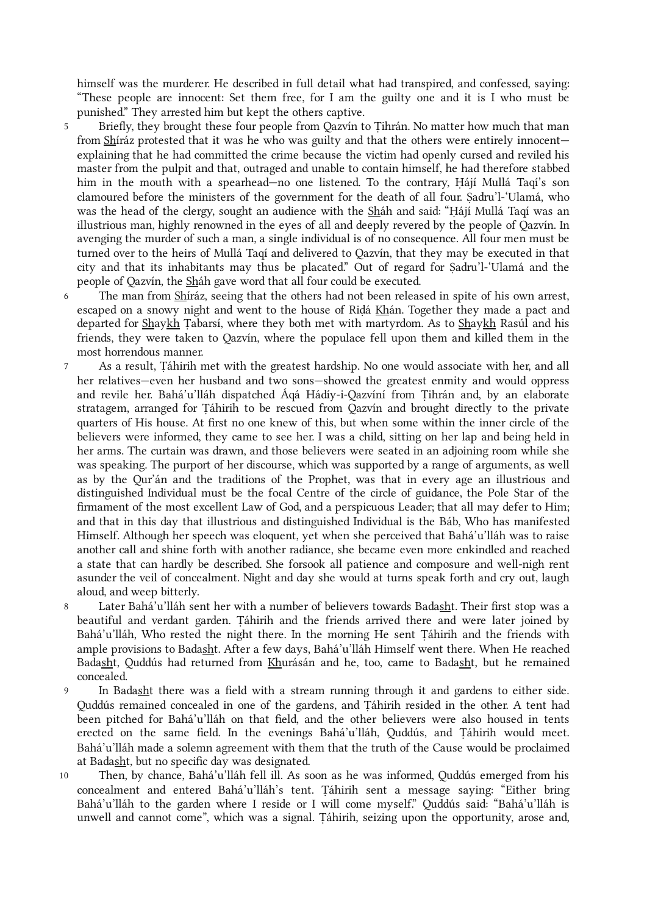himself was the murderer. He described in full detail what had transpired, and confessed, saying: "These people are innocent: Set them free, for I am the guilty one and it is I who must be punished." They arrested him but kept the others captive.

- Briefly, they brought these four people from Qazvín to Ṭihrán. No matter how much that man from Shíráz protested that it was he who was guilty and that the others were entirely innocent explaining that he had committed the crime because the victim had openly cursed and reviled his master from the pulpit and that, outraged and unable to contain himself, he had therefore stabbed him in the mouth with a spearhead—no one listened. To the contrary, Ḥájí Mullá Taqí's son clamoured before the ministers of the government for the death of all four. Ṣadru'l-'Ulamá, who was the head of the clergy, sought an audience with the Sháh and said: "Hájí Mullá Taqí was an illustrious man, highly renowned in the eyes of all and deeply revered by the people of Qazvín. In avenging the murder of such a man, a single individual is of no consequence. All four men must be turned over to the heirs of Mullá Taqí and delivered to Qazvín, that they may be executed in that city and that its inhabitants may thus be placated." Out of regard for Ṣadru'l-'Ulamá and the people of Qazvín, the Sháh gave word that all four could be executed. 5
- The man from Shíráz, seeing that the others had not been released in spite of his own arrest, escaped on a snowy night and went to the house of Ridá Khán. Together they made a pact and departed for **Shaykh** Tabarsí, where they both met with martyrdom. As to **Shaykh** Rasúl and his friends, they were taken to Qazvín, where the populace fell upon them and killed them in the most horrendous manner. 6
- As a result, Ṭáhirih met with the greatest hardship. No one would associate with her, and all her relatives—even her husband and two sons—showed the greatest enmity and would oppress and revile her. Bahá'u'lláh dispatched Áqá Hádíy-i-Qazvíní from Ṭihrán and, by an elaborate stratagem, arranged for Ṭáhirih to be rescued from Qazvín and brought directly to the private quarters of His house. At first no one knew of this, but when some within the inner circle of the believers were informed, they came to see her. I was a child, sitting on her lap and being held in her arms. The curtain was drawn, and those believers were seated in an adjoining room while she was speaking. The purport of her discourse, which was supported by a range of arguments, as well as by the Qur'án and the traditions of the Prophet, was that in every age an illustrious and distinguished Individual must be the focal Centre of the circle of guidance, the Pole Star of the firmament of the most excellent Law of God, and a perspicuous Leader; that all may defer to Him; and that in this day that illustrious and distinguished Individual is the Báb, Who has manifested Himself. Although her speech was eloquent, yet when she perceived that Bahá'u'lláh was to raise another call and shine forth with another radiance, she became even more enkindled and reached a state that can hardly be described. She forsook all patience and composure and well-nigh rent asunder the veil of concealment. Night and day she would at turns speak forth and cry out, laugh aloud, and weep bitterly. 7
- Later Bahá'u'lláh sent her with a number of believers towards Badasht. Their first stop was a beautiful and verdant garden. Ṭáhirih and the friends arrived there and were later joined by Bahá'u'lláh, Who rested the night there. In the morning He sent Ṭáhirih and the friends with ample provisions to Badasht. After a few days, Bahá'u'lláh Himself went there. When He reached Badasht, Quddús had returned from Khurásán and he, too, came to Badasht, but he remained concealed. 8
- In Badasht there was a field with a stream running through it and gardens to either side. Quddús remained concealed in one of the gardens, and Ṭáhirih resided in the other. A tent had been pitched for Bahá'u'lláh on that field, and the other believers were also housed in tents erected on the same field. In the evenings Bahá'u'lláh, Quddús, and Ṭáhirih would meet. Bahá'u'lláh made a solemn agreement with them that the truth of the Cause would be proclaimed at Badasht, but no specific day was designated.  $\alpha$
- Then, by chance, Bahá'u'lláh fell ill. As soon as he was informed, Quddús emerged from his concealment and entered Bahá'u'lláh's tent. Ṭáhirih sent a message saying: "Either bring Bahá'u'lláh to the garden where I reside or I will come myself." Quddús said: "Bahá'u'lláh is unwell and cannot come", which was a signal. Ṭáhirih, seizing upon the opportunity, arose and, 10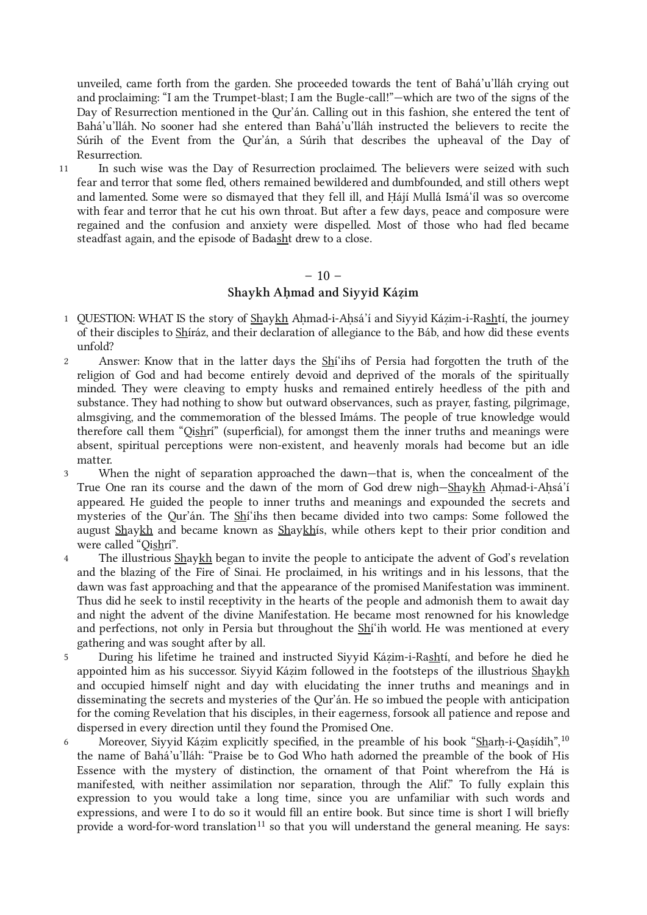unveiled, came forth from the garden. She proceeded towards the tent of Bahá'u'lláh crying out and proclaiming: "I am the Trumpet-blast; I am the Bugle-call!"—which are two of the signs of the Day of Resurrection mentioned in the Qur'án. Calling out in this fashion, she entered the tent of Bahá'u'lláh. No sooner had she entered than Bahá'u'lláh instructed the believers to recite the Súrih of the Event from the Qur'án, a Súrih that describes the upheaval of the Day of Resurrection.

In such wise was the Day of Resurrection proclaimed. The believers were seized with such fear and terror that some fled, others remained bewildered and dumbfounded, and still others wept and lamented. Some were so dismayed that they fell ill, and Ḥájí Mullá Ismá'íl was so overcome with fear and terror that he cut his own throat. But after a few days, peace and composure were regained and the confusion and anxiety were dispelled. Most of those who had fled became steadfast again, and the episode of Badasht drew to a close. 11

#### $-10-$

## Shaykh Ahmad and Siyyid Kázim

- 1 QUESTION: WHAT IS the story of <u>Sh</u>ay<u>kh</u> Aḥmad-i-Aḥsá'í and Siyyid Káẓim-i-Ra<u>sh</u>tí, the journey of their disciples to Shíráz, and their declaration of allegiance to the Báb, and how did these events unfold?
- Answer: Know that in the latter days the Shi'ihs of Persia had forgotten the truth of the religion of God and had become entirely devoid and deprived of the morals of the spiritually minded. They were cleaving to empty husks and remained entirely heedless of the pith and substance. They had nothing to show but outward observances, such as prayer, fasting, pilgrimage, almsgiving, and the commemoration of the blessed Imáms. The people of true knowledge would therefore call them "Qishrí" (superficial), for amongst them the inner truths and meanings were absent, spiritual perceptions were non-existent, and heavenly morals had become but an idle matter. 2
- When the night of separation approached the dawn—that is, when the concealment of the True One ran its course and the dawn of the morn of God drew nigh-Shaykh Ahmad-i-Ahsá'í appeared. He guided the people to inner truths and meanings and expounded the secrets and mysteries of the Qur'án. The Shí'ihs then became divided into two camps: Some followed the august Shaykh and became known as Shaykhís, while others kept to their prior condition and were called "Qishrí". 3
- The illustrious **Shaykh** began to invite the people to anticipate the advent of God's revelation and the blazing of the Fire of Sinai. He proclaimed, in his writings and in his lessons, that the dawn was fast approaching and that the appearance of the promised Manifestation was imminent. Thus did he seek to instil receptivity in the hearts of the people and admonish them to await day and night the advent of the divine Manifestation. He became most renowned for his knowledge and perfections, not only in Persia but throughout the Shí'ih world. He was mentioned at every gathering and was sought after by all. 4
- During his lifetime he trained and instructed Siyyid Káẓim-i-Rashtí, and before he died he appointed him as his successor. Siyyid Kázim followed in the footsteps of the illustrious Shaykh and occupied himself night and day with elucidating the inner truths and meanings and in disseminating the secrets and mysteries of the Qur'án. He so imbued the people with anticipation for the coming Revelation that his disciples, in their eagerness, forsook all patience and repose and dispersed in every direction until they found the Promised One. 5
- <span id="page-6-0"></span>Moreover, Siyyid Kázim explicitly specified, in the preamble of his book "Sharh-i-Qaṣídih", [10](#page-12-9) the name of Bahá'u'lláh: "Praise be to God Who hath adorned the preamble of the book of His Essence with the mystery of distinction, the ornament of that Point wherefrom the Há is manifested, with neither assimilation nor separation, through the Alif." To fully explain this expression to you would take a long time, since you are unfamiliar with such words and expressions, and were I to do so it would fill an entire book. But since time is short I will briefly provide a word-for-word translation<sup>[11](#page-12-10)</sup> so that you will understand the general meaning. He says: 6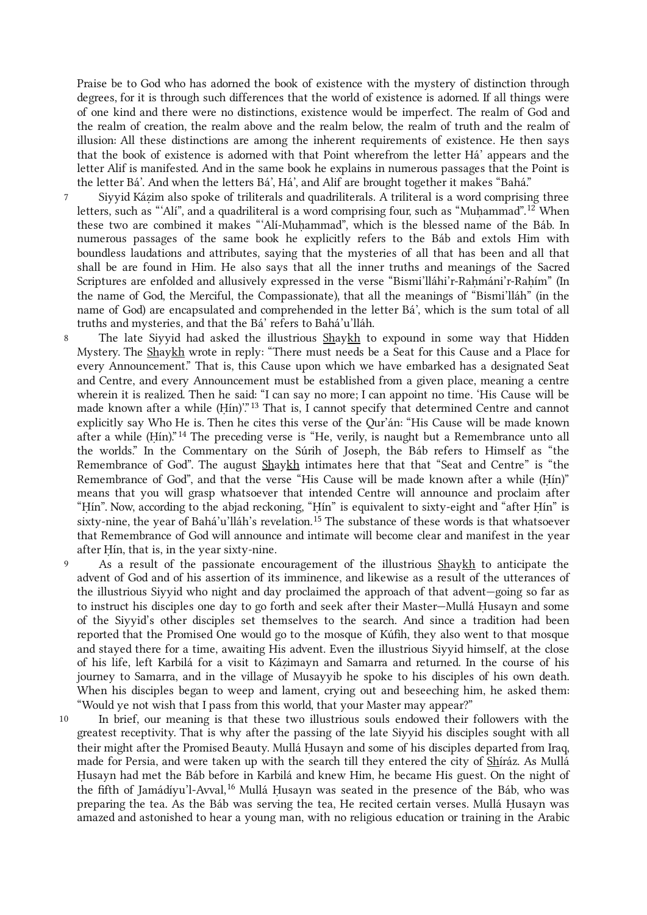Praise be to God who has adorned the book of existence with the mystery of distinction through degrees, for it is through such differences that the world of existence is adorned. If all things were of one kind and there were no distinctions, existence would be imperfect. The realm of God and the realm of creation, the realm above and the realm below, the realm of truth and the realm of illusion: All these distinctions are among the inherent requirements of existence. He then says that the book of existence is adorned with that Point wherefrom the letter Há' appears and the letter Alif is manifested. And in the same book he explains in numerous passages that the Point is the letter Bá'. And when the letters Bá', Há', and Alif are brought together it makes "Bahá."

- <span id="page-7-0"></span>Siyyid Káẓim also spoke of triliterals and quadriliterals. A triliteral is a word comprising three letters, such as "'Alí", and a quadriliteral is a word comprising four, such as "Muḥammad". [12](#page-12-11) When these two are combined it makes "'Alí-Muḥammad", which is the blessed name of the Báb. In numerous passages of the same book he explicitly refers to the Báb and extols Him with boundless laudations and attributes, saying that the mysteries of all that has been and all that shall be are found in Him. He also says that all the inner truths and meanings of the Sacred Scriptures are enfolded and allusively expressed in the verse "Bismi'lláhi'r-Rahmáni'r-Rahím" (In the name of God, the Merciful, the Compassionate), that all the meanings of "Bismi'lláh" (in the name of God) are encapsulated and comprehended in the letter Bá', which is the sum total of all truths and mysteries, and that the Bá' refers to Bahá'u'lláh. 7
- <span id="page-7-1"></span>The late Siyyid had asked the illustrious Shaykh to expound in some way that Hidden Mystery. The Shaykh wrote in reply: "There must needs be a Seat for this Cause and a Place for every Announcement." That is, this Cause upon which we have embarked has a designated Seat and Centre, and every Announcement must be established from a given place, meaning a centre wherein it is realized. Then he said: "I can say no more; I can appoint no time. 'His Cause will be made known after a while (Hín)'."<sup>[13](#page-12-12)</sup> That is, I cannot specify that determined Centre and cannot explicitly say Who He is. Then he cites this verse of the Qur'án: "His Cause will be made known after a while (Ḥín)."<sup>[14](#page-12-13)</sup> The preceding verse is "He, verily, is naught but a Remembrance unto all the worlds." In the Commentary on the Súrih of Joseph, the Báb refers to Himself as "the Remembrance of God". The august Shaykh intimates here that that "Seat and Centre" is "the Remembrance of God", and that the verse "His Cause will be made known after a while (Ḥín)" means that you will grasp whatsoever that intended Centre will announce and proclaim after "Ḥín". Now, according to the abjad reckoning, "Ḥín" is equivalent to sixty-eight and "after Ḥín" is sixty-nine, the year of Bahá'u'lláh's revelation. [15](#page-12-14) The substance of these words is that whatsoever that Remembrance of God will announce and intimate will become clear and manifest in the year after Ḥín, that is, in the year sixty-nine. 8
- As a result of the passionate encouragement of the illustrious Shaykh to anticipate the advent of God and of his assertion of its imminence, and likewise as a result of the utterances of the illustrious Siyyid who night and day proclaimed the approach of that advent—going so far as to instruct his disciples one day to go forth and seek after their Master—Mullá Ḥusayn and some of the Siyyid's other disciples set themselves to the search. And since a tradition had been reported that the Promised One would go to the mosque of Kúfih, they also went to that mosque and stayed there for a time, awaiting His advent. Even the illustrious Siyyid himself, at the close of his life, left Karbilá for a visit to Káẓimayn and Samarra and returned. In the course of his journey to Samarra, and in the village of Musayyib he spoke to his disciples of his own death. When his disciples began to weep and lament, crying out and beseeching him, he asked them: "Would ye not wish that I pass from this world, that your Master may appear?"  $\overline{9}$
- <span id="page-7-2"></span>In brief, our meaning is that these two illustrious souls endowed their followers with the greatest receptivity. That is why after the passing of the late Siyyid his disciples sought with all their might after the Promised Beauty. Mullá Ḥusayn and some of his disciples departed from Iraq, made for Persia, and were taken up with the search till they entered the city of Shíráz. As Mullá Ḥusayn had met the Báb before in Karbilá and knew Him, he became His guest. On the night of the fifth of Jamádíyu'l-Avval,<sup>[16](#page-12-15)</sup> Mullá Ḥusayn was seated in the presence of the Báb, who was preparing the tea. As the Báb was serving the tea, He recited certain verses. Mullá Ḥusayn was amazed and astonished to hear a young man, with no religious education or training in the Arabic 10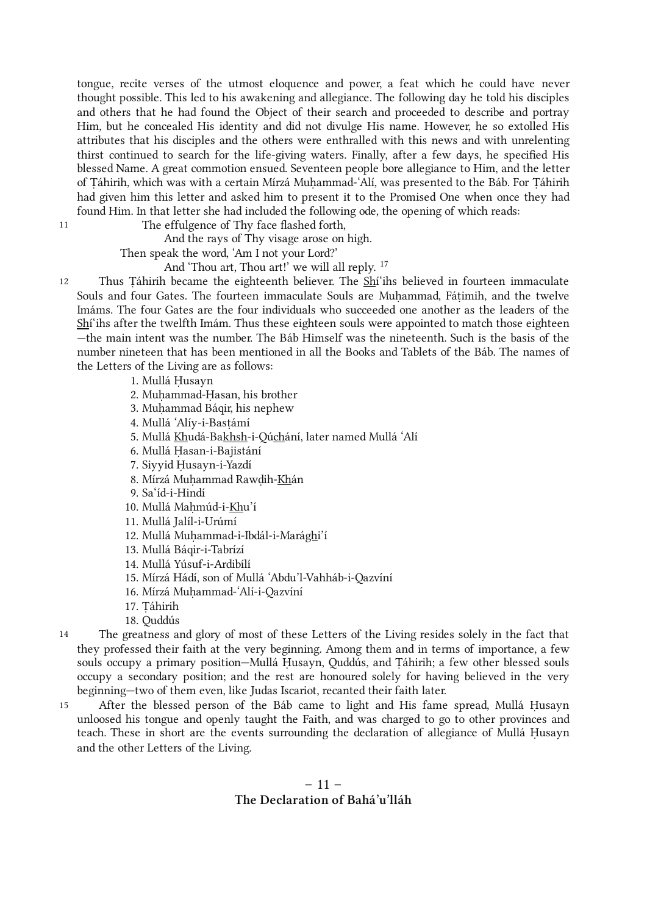tongue, recite verses of the utmost eloquence and power, a feat which he could have never thought possible. This led to his awakening and allegiance. The following day he told his disciples and others that he had found the Object of their search and proceeded to describe and portray Him, but he concealed His identity and did not divulge His name. However, he so extolled His attributes that his disciples and the others were enthralled with this news and with unrelenting thirst continued to search for the life-giving waters. Finally, after a few days, he specified His blessed Name. A great commotion ensued. Seventeen people bore allegiance to Him, and the letter of Ṭáhirih, which was with a certain Mírzá Muḥammad-'Alí, was presented to the Báb. For Ṭáhirih had given him this letter and asked him to present it to the Promised One when once they had found Him. In that letter she had included the following ode, the opening of which reads:

11

The effulgence of Thy face flashed forth,

And the rays of Thy visage arose on high.

<span id="page-8-0"></span>Then speak the word, 'Am I not your Lord?'

And 'Thou art, Thou art!' we will all reply.<sup>[17](#page-12-16)</sup>

Thus Táhirih became the eighteenth believer. The Shí'ihs believed in fourteen immaculate Souls and four Gates. The fourteen immaculate Souls are Muhammad, Fátimih, and the twelve Imáms. The four Gates are the four individuals who succeeded one another as the leaders of the Shí'ihs after the twelfth Imám. Thus these eighteen souls were appointed to match those eighteen —the main intent was the number. The Báb Himself was the nineteenth. Such is the basis of the number nineteen that has been mentioned in all the Books and Tablets of the Báb. The names of the Letters of the Living are as follows: 12

- 1. Mullá Ḥusayn
- 2. Muḥammad-Ḥasan, his brother
- 3. Muḥammad Báqir, his nephew
- 4. Mullá 'Alíy-i-Basṭámí
- 5. Mullá Khudá-Bakhsh-i-Qúchání, later named Mullá 'Alí
- 6. Mullá Ḥasan-i-Bajistání
- 7. Siyyid Ḥusayn-i-Yazdí
- 8. Mírzá Muḥammad Rawḍih-Khán
- 9. Sa'íd-i-Hindí
- 10. Mullá Mahmúd-i-Khu'í
- 11. Mullá Jalíl-i-Urúmí
- 12. Mullá Muḥammad-i-Ibdál-i-Marághi'í
- 13. Mullá Báqir-i-Tabrízí
- 14. Mullá Yúsuf-i-Ardibílí
- 15. Mírzá Hádí, son of Mullá 'Abdu'l-Vahháb-i-Qazvíní
- 16. Mírzá Muḥammad-'Alí-i-Qazvíní
- 17. Ṭáhirih
- 18. Quddús
- The greatness and glory of most of these Letters of the Living resides solely in the fact that they professed their faith at the very beginning. Among them and in terms of importance, a few souls occupy a primary position—Mullá Ḥusayn, Quddús, and Ṭáhirih; a few other blessed souls occupy a secondary position; and the rest are honoured solely for having believed in the very beginning—two of them even, like Judas Iscariot, recanted their faith later. 14
- After the blessed person of the Báb came to light and His fame spread, Mullá Ḥusayn unloosed his tongue and openly taught the Faith, and was charged to go to other provinces and teach. These in short are the events surrounding the declaration of allegiance of Mullá Ḥusayn and the other Letters of the Living. 15

## $-11-$ The Declaration of Bahá'u'lláh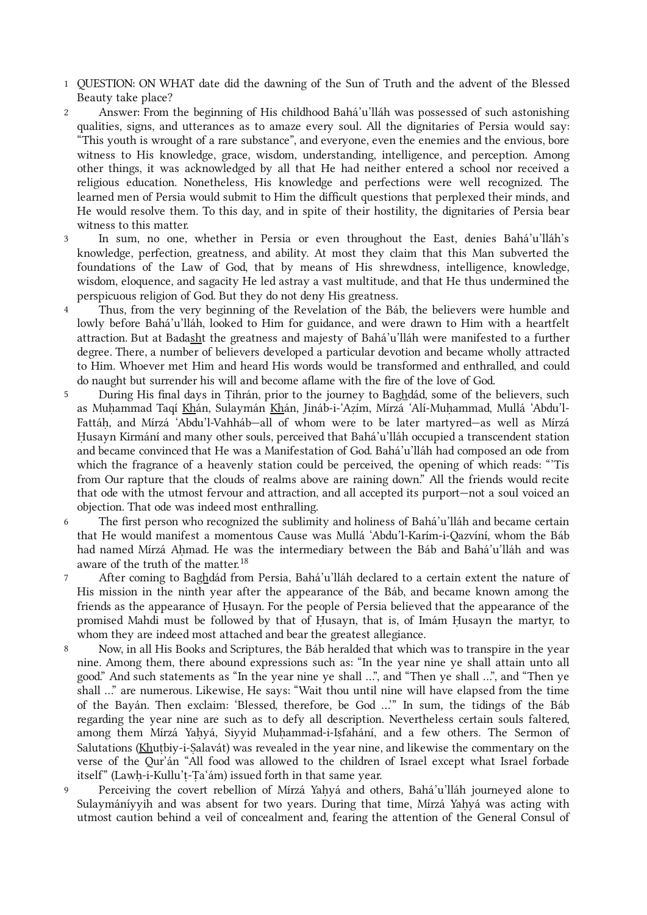- QUESTION: ON WHAT date did the dawning of the Sun of Truth and the advent of the Blessed 1 Beauty take place?
- Answer: From the beginning of His childhood Bahá'u'lláh was possessed of such astonishing qualities, signs, and utterances as to amaze every soul. All the dignitaries of Persia would say: "This youth is wrought of a rare substance", and everyone, even the enemies and the envious, bore witness to His knowledge, grace, wisdom, understanding, intelligence, and perception. Among other things, it was acknowledged by all that He had neither entered a school nor received a religious education. Nonetheless, His knowledge and perfections were well recognized. The learned men of Persia would submit to Him the difficult questions that perplexed their minds, and He would resolve them. To this day, and in spite of their hostility, the dignitaries of Persia bear witness to this matter. 2
- In sum, no one, whether in Persia or even throughout the East, denies Bahá'u'lláh's knowledge, perfection, greatness, and ability. At most they claim that this Man subverted the foundations of the Law of God, that by means of His shrewdness, intelligence, knowledge, wisdom, eloquence, and sagacity He led astray a vast multitude, and that He thus undermined the perspicuous religion of God. But they do not deny His greatness. 3
- Thus, from the very beginning of the Revelation of the Báb, the believers were humble and lowly before Bahá'u'lláh, looked to Him for guidance, and were drawn to Him with a heartfelt attraction. But at Badasht the greatness and majesty of Bahá'u'lláh were manifested to a further degree. There, a number of believers developed a particular devotion and became wholly attracted to Him. Whoever met Him and heard His words would be transformed and enthralled, and could do naught but surrender his will and become aflame with the fire of the love of God. 4
- During His final days in Ṭihrán, prior to the journey to Baghdád, some of the believers, such as Muḥammad Taqí Khán, Sulaymán Khán, Jináb-i-'Aẓím, Mírzá 'Alí-Muḥammad, Mullá 'Abdu'l-Fattáḥ, and Mírzá 'Abdu'l-Vahháb—all of whom were to be later martyred—as well as Mírzá Ḥusayn Kirmání and many other souls, perceived that Bahá'u'lláh occupied a transcendent station and became convinced that He was a Manifestation of God. Bahá'u'lláh had composed an ode from which the fragrance of a heavenly station could be perceived, the opening of which reads: "'Tis from Our rapture that the clouds of realms above are raining down." All the friends would recite that ode with the utmost fervour and attraction, and all accepted its purport—not a soul voiced an objection. That ode was indeed most enthralling. 5
- <span id="page-9-0"></span>The first person who recognized the sublimity and holiness of Bahá'u'lláh and became certain that He would manifest a momentous Cause was Mullá 'Abdu'l-Karím-i-Qazvíní, whom the Báb had named Mírzá Ahmad. He was the intermediary between the Báb and Bahá'u'lláh and was aware of the truth of the matter.<sup>[18](#page-12-17)</sup> 6
- After coming to Baghdád from Persia, Bahá'u'lláh declared to a certain extent the nature of His mission in the ninth year after the appearance of the Báb, and became known among the friends as the appearance of Ḥusayn. For the people of Persia believed that the appearance of the promised Mahdi must be followed by that of Ḥusayn, that is, of Imám Ḥusayn the martyr, to whom they are indeed most attached and bear the greatest allegiance. 7
- Now, in all His Books and Scriptures, the Báb heralded that which was to transpire in the year nine. Among them, there abound expressions such as: "In the year nine ye shall attain unto all good." And such statements as "In the year nine ye shall …", and "Then ye shall …", and "Then ye shall …" are numerous. Likewise, He says: "Wait thou until nine will have elapsed from the time of the Bayán. Then exclaim: 'Blessed, therefore, be God …'" In sum, the tidings of the Báb regarding the year nine are such as to defy all description. Nevertheless certain souls faltered, among them Mírzá Yaḥyá, Siyyid Muḥammad-i-Iṣfahání, and a few others. The Sermon of Salutations (Khutbiy-i-Salavát) was revealed in the year nine, and likewise the commentary on the verse of the Qur'án "All food was allowed to the children of Israel except what Israel forbade itself" (Lawḥ-i-Kullu'ṭ-Ṭa'ám) issued forth in that same year. 8
- Perceiving the covert rebellion of Mírzá Yahyá and others, Bahá'u'lláh journeyed alone to Sulaymáníyyih and was absent for two years. During that time, Mírzá Yahyá was acting with utmost caution behind a veil of concealment and, fearing the attention of the General Consul of 9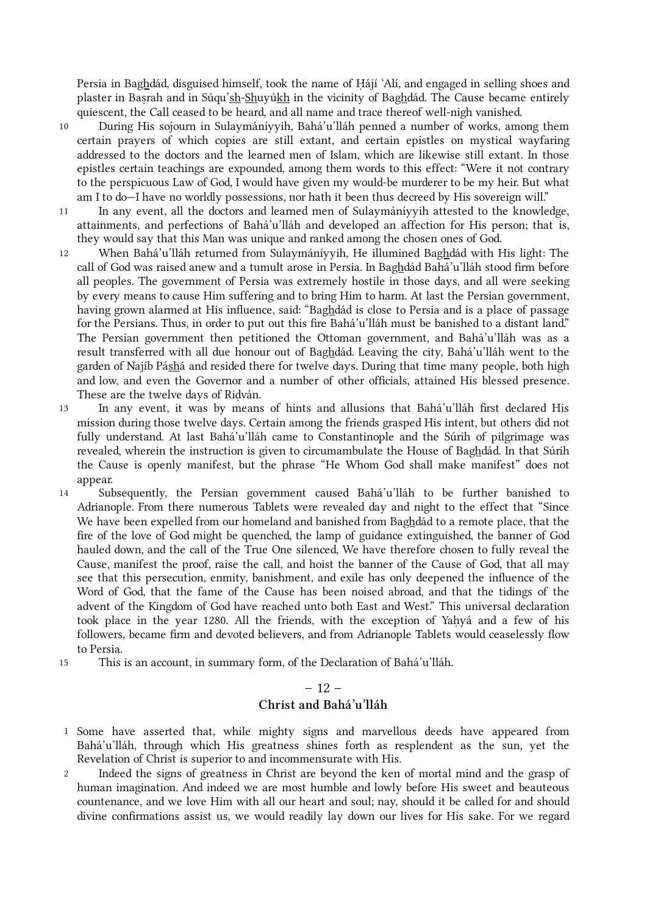Persia in Baghdád, disguised himself, took the name of Ḥájí 'Alí, and engaged in selling shoes and plaster in Baṣrah and in Súqu'sh-Shuyúkh in the vicinity of Baghdád. The Cause became entirely quiescent, the Call ceased to be heard, and all name and trace thereof well-nigh vanished.

- During His sojourn in Sulaymáníyyih, Bahá'u'lláh penned a number of works, among them certain prayers of which copies are still extant, and certain epistles on mystical wayfaring addressed to the doctors and the learned men of Islam, which are likewise still extant. In those epistles certain teachings are expounded, among them words to this effect: "Were it not contrary to the perspicuous Law of God, I would have given my would-be murderer to be my heir. But what am I to do—I have no worldly possessions, nor hath it been thus decreed by His sovereign will." 10
- In any event, all the doctors and learned men of Sulaymáníyyih attested to the knowledge, attainments, and perfections of Bahá'u'lláh and developed an affection for His person; that is, they would say that this Man was unique and ranked among the chosen ones of God. 11
- When Bahá'u'lláh returned from Sulaymáníyyih, He illumined Baghdád with His light: The call of God was raised anew and a tumult arose in Persia. In Baghdád Bahá'u'lláh stood firm before all peoples. The government of Persia was extremely hostile in those days, and all were seeking by every means to cause Him suffering and to bring Him to harm. At last the Persian government, having grown alarmed at His influence, said: "Baghdád is close to Persia and is a place of passage for the Persians. Thus, in order to put out this fire Bahá'u'lláh must be banished to a distant land." The Persian government then petitioned the Ottoman government, and Bahá'u'lláh was as a result transferred with all due honour out of Baghdád. Leaving the city, Bahá'u'lláh went to the garden of Najíb Páshá and resided there for twelve days. During that time many people, both high and low, and even the Governor and a number of other officials, attained His blessed presence. These are the twelve days of Riḍván. 12
- In any event, it was by means of hints and allusions that Bahá'u'lláh first declared His mission during those twelve days. Certain among the friends grasped His intent, but others did not fully understand. At last Bahá'u'lláh came to Constantinople and the Súrih of pilgrimage was revealed, wherein the instruction is given to circumambulate the House of Baghdád. In that Súrih the Cause is openly manifest, but the phrase "He Whom God shall make manifest" does not appear. 13
- Subsequently, the Persian government caused Bahá'u'lláh to be further banished to Adrianople. From there numerous Tablets were revealed day and night to the effect that "Since We have been expelled from our homeland and banished from Baghdád to a remote place, that the fire of the love of God might be quenched, the lamp of guidance extinguished, the banner of God hauled down, and the call of the True One silenced, We have therefore chosen to fully reveal the Cause, manifest the proof, raise the call, and hoist the banner of the Cause of God, that all may see that this persecution, enmity, banishment, and exile has only deepened the influence of the Word of God, that the fame of the Cause has been noised abroad, and that the tidings of the advent of the Kingdom of God have reached unto both East and West." This universal declaration took place in the year 1280. All the friends, with the exception of Yahyá and a few of his followers, became firm and devoted believers, and from Adrianople Tablets would ceaselessly flow to Persia. 14
- This is an account, in summary form, of the Declaration of Bahá'u'lláh. 15

# $-12-$ Christ and Bahá'u'lláh

- 1 Some have asserted that, while mighty signs and marvellous deeds have appeared from Bahá'u'lláh, through which His greatness shines forth as resplendent as the sun, yet the Revelation of Christ is superior to and incommensurate with His.
- Indeed the signs of greatness in Christ are beyond the ken of mortal mind and the grasp of human imagination. And indeed we are most humble and lowly before His sweet and beauteous countenance, and we love Him with all our heart and soul; nay, should it be called for and should divine confirmations assist us, we would readily lay down our lives for His sake. For we regard  $\mathfrak{2}$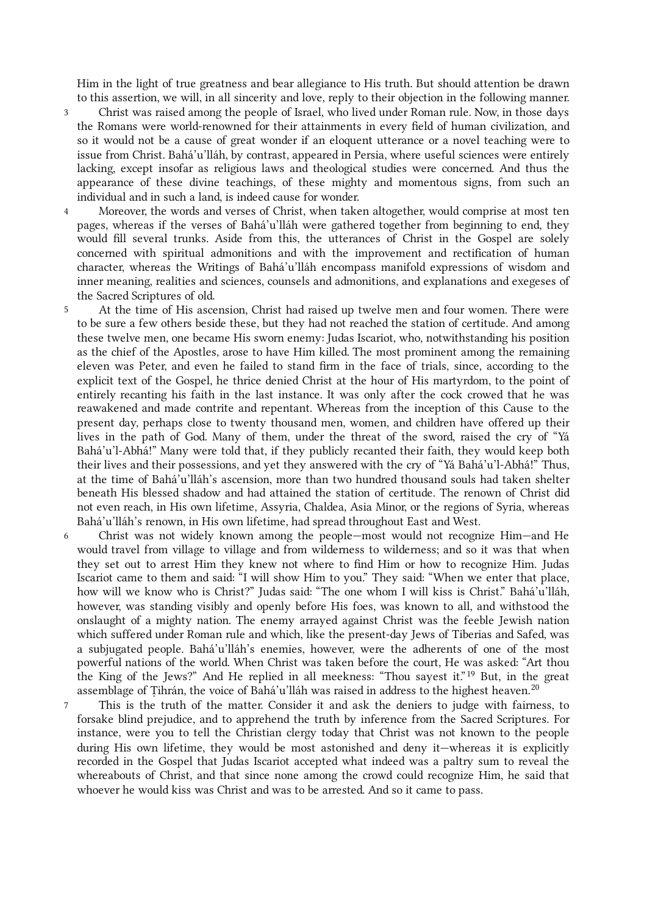Him in the light of true greatness and bear allegiance to His truth. But should attention be drawn to this assertion, we will, in all sincerity and love, reply to their objection in the following manner.

3

Christ was raised among the people of Israel, who lived under Roman rule. Now, in those days the Romans were world-renowned for their attainments in every field of human civilization, and so it would not be a cause of great wonder if an eloquent utterance or a novel teaching were to issue from Christ. Bahá'u'lláh, by contrast, appeared in Persia, where useful sciences were entirely lacking, except insofar as religious laws and theological studies were concerned. And thus the appearance of these divine teachings, of these mighty and momentous signs, from such an individual and in such a land, is indeed cause for wonder.

- Moreover, the words and verses of Christ, when taken altogether, would comprise at most ten pages, whereas if the verses of Bahá'u'lláh were gathered together from beginning to end, they would fill several trunks. Aside from this, the utterances of Christ in the Gospel are solely concerned with spiritual admonitions and with the improvement and rectification of human character, whereas the Writings of Bahá'u'lláh encompass manifold expressions of wisdom and inner meaning, realities and sciences, counsels and admonitions, and explanations and exegeses of the Sacred Scriptures of old. 4
- At the time of His ascension, Christ had raised up twelve men and four women. There were to be sure a few others beside these, but they had not reached the station of certitude. And among these twelve men, one became His sworn enemy: Judas Iscariot, who, notwithstanding his position as the chief of the Apostles, arose to have Him killed. The most prominent among the remaining eleven was Peter, and even he failed to stand firm in the face of trials, since, according to the explicit text of the Gospel, he thrice denied Christ at the hour of His martyrdom, to the point of entirely recanting his faith in the last instance. It was only after the cock crowed that he was reawakened and made contrite and repentant. Whereas from the inception of this Cause to the present day, perhaps close to twenty thousand men, women, and children have offered up their lives in the path of God. Many of them, under the threat of the sword, raised the cry of "Yá Bahá'u'l-Abhá!" Many were told that, if they publicly recanted their faith, they would keep both their lives and their possessions, and yet they answered with the cry of "Yá Bahá'u'l-Abhá!" Thus, at the time of Bahá'u'lláh's ascension, more than two hundred thousand souls had taken shelter beneath His blessed shadow and had attained the station of certitude. The renown of Christ did not even reach, in His own lifetime, Assyria, Chaldea, Asia Minor, or the regions of Syria, whereas Bahá'u'lláh's renown, in His own lifetime, had spread throughout East and West. 5
- <span id="page-11-0"></span>Christ was not widely known among the people—most would not recognize Him—and He would travel from village to village and from wilderness to wilderness; and so it was that when they set out to arrest Him they knew not where to find Him or how to recognize Him. Judas Iscariot came to them and said: "I will show Him to you." They said: "When we enter that place, how will we know who is Christ?" Judas said: "The one whom I will kiss is Christ." Bahá'u'lláh, however, was standing visibly and openly before His foes, was known to all, and withstood the onslaught of a mighty nation. The enemy arrayed against Christ was the feeble Jewish nation which suffered under Roman rule and which, like the present-day Jews of Tiberias and Safed, was a subjugated people. Bahá'u'lláh's enemies, however, were the adherents of one of the most powerful nations of the world. When Christ was taken before the court, He was asked: "Art thou the King of the Jews?" And He replied in all meekness: "Thou sayest it."<sup>[19](#page-12-18)</sup> But, in the great assemblage of Țihrán, the voice of Bahá'u'lláh was raised in address to the highest heaven. $^{20}$  $^{20}$  $^{20}$ 6
- This is the truth of the matter. Consider it and ask the deniers to judge with fairness, to forsake blind prejudice, and to apprehend the truth by inference from the Sacred Scriptures. For instance, were you to tell the Christian clergy today that Christ was not known to the people during His own lifetime, they would be most astonished and deny it—whereas it is explicitly recorded in the Gospel that Judas Iscariot accepted what indeed was a paltry sum to reveal the whereabouts of Christ, and that since none among the crowd could recognize Him, he said that whoever he would kiss was Christ and was to be arrested. And so it came to pass. 7